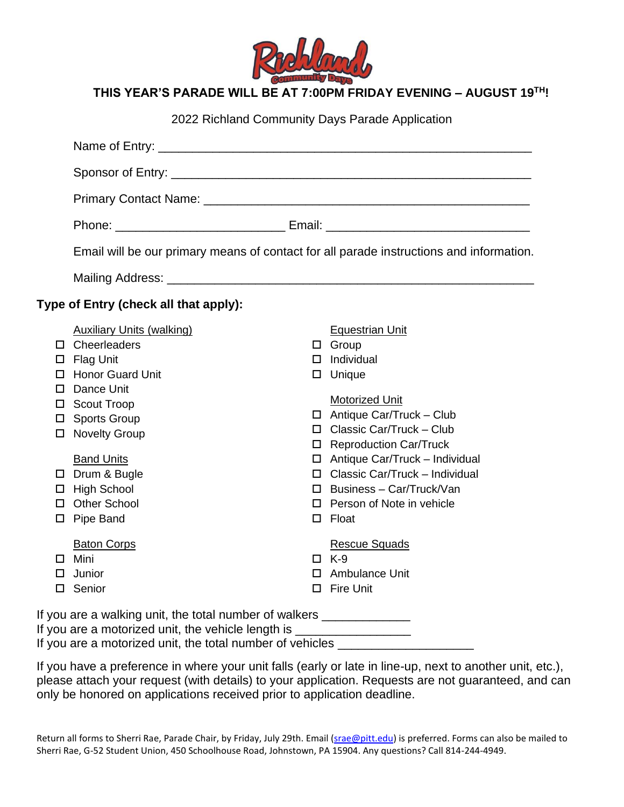

| 2022 Richland Community Days Parade Application |                                                                                                                                                                                                                                                                   |   |                                                                                                                                                                                                                                                                                                                                                                              |  |  |
|-------------------------------------------------|-------------------------------------------------------------------------------------------------------------------------------------------------------------------------------------------------------------------------------------------------------------------|---|------------------------------------------------------------------------------------------------------------------------------------------------------------------------------------------------------------------------------------------------------------------------------------------------------------------------------------------------------------------------------|--|--|
|                                                 |                                                                                                                                                                                                                                                                   |   |                                                                                                                                                                                                                                                                                                                                                                              |  |  |
|                                                 |                                                                                                                                                                                                                                                                   |   |                                                                                                                                                                                                                                                                                                                                                                              |  |  |
|                                                 |                                                                                                                                                                                                                                                                   |   |                                                                                                                                                                                                                                                                                                                                                                              |  |  |
|                                                 |                                                                                                                                                                                                                                                                   |   |                                                                                                                                                                                                                                                                                                                                                                              |  |  |
|                                                 | Email will be our primary means of contact for all parade instructions and information.                                                                                                                                                                           |   |                                                                                                                                                                                                                                                                                                                                                                              |  |  |
|                                                 |                                                                                                                                                                                                                                                                   |   |                                                                                                                                                                                                                                                                                                                                                                              |  |  |
|                                                 | Type of Entry (check all that apply):                                                                                                                                                                                                                             |   |                                                                                                                                                                                                                                                                                                                                                                              |  |  |
|                                                 | <b>Auxiliary Units (walking)</b><br>$\Box$ Cheerleaders<br>$\square$ Flag Unit<br>□ Honor Guard Unit<br>Dance Unit<br>□ Scout Troop<br>□ Sports Group<br>□ Novelty Group<br><b>Band Units</b><br>□ Drum & Bugle<br>□ High School<br>□ Other School<br>□ Pipe Band |   | <b>Equestrian Unit</b><br>$\Box$ Group<br>$\Box$ Individual<br>$\Box$ Unique<br>Motorized Unit<br>$\Box$ Antique Car/Truck - Club<br>$\Box$ Classic Car/Truck - Club<br>□ Reproduction Car/Truck<br>$\Box$ Antique Car/Truck - Individual<br>$\Box$ Classic Car/Truck - Individual<br>$\Box$ Business - Car/Truck/Van<br>$\Box$ Person of Note in vehicle<br>$\square$ Float |  |  |
| ப                                               | <b>Baton Corps</b><br>$\square$ Mini<br>Junior<br>□ Senior                                                                                                                                                                                                        | □ | <b>Rescue Squads</b><br>$\Box$ K-9<br>□ Ambulance Unit<br><b>Fire Unit</b>                                                                                                                                                                                                                                                                                                   |  |  |
|                                                 | If you are a walking unit, the total number of walkers _______________<br>If you are a motorized unit, the vehicle length is _____________________________<br>If you are a motorized unit, the total number of vehicles ____________                              |   |                                                                                                                                                                                                                                                                                                                                                                              |  |  |

If you have a preference in where your unit falls (early or late in line-up, next to another unit, etc.), please attach your request (with details) to your application. Requests are not guaranteed, and can only be honored on applications received prior to application deadline.

Return all forms to Sherri Rae, Parade Chair, by Friday, July 29th. Email [\(srae@pitt.edu\)](mailto:srae@pitt.edu) is preferred. Forms can also be mailed to Sherri Rae, G-52 Student Union, 450 Schoolhouse Road, Johnstown, PA 15904. Any questions? Call 814-244-4949.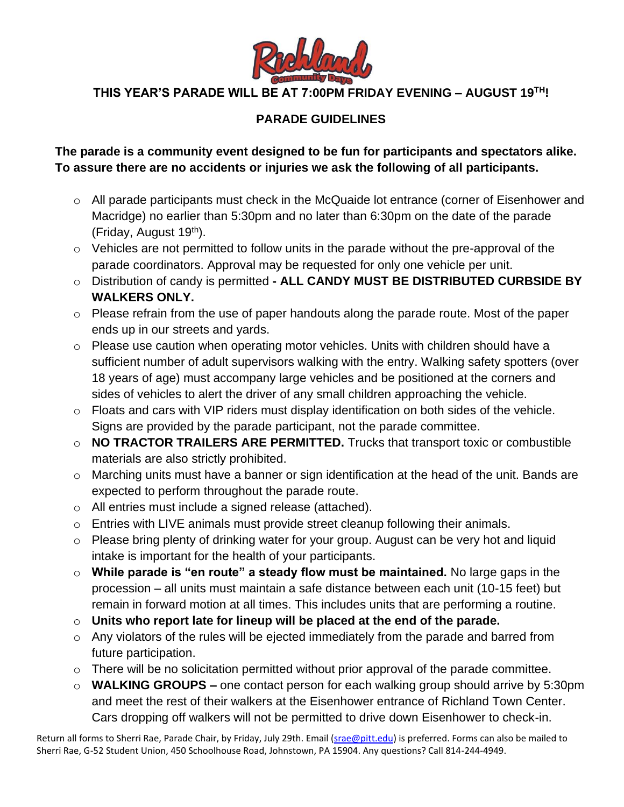

## **PARADE GUIDELINES**

**The parade is a community event designed to be fun for participants and spectators alike. To assure there are no accidents or injuries we ask the following of all participants.** 

- o All parade participants must check in the McQuaide lot entrance (corner of Eisenhower and Macridge) no earlier than 5:30pm and no later than 6:30pm on the date of the parade (Friday, August 19<sup>th</sup>).
- o Vehicles are not permitted to follow units in the parade without the pre-approval of the parade coordinators. Approval may be requested for only one vehicle per unit.
- o Distribution of candy is permitted **- ALL CANDY MUST BE DISTRIBUTED CURBSIDE BY WALKERS ONLY.**
- o Please refrain from the use of paper handouts along the parade route. Most of the paper ends up in our streets and yards.
- $\circ$  Please use caution when operating motor vehicles. Units with children should have a sufficient number of adult supervisors walking with the entry. Walking safety spotters (over 18 years of age) must accompany large vehicles and be positioned at the corners and sides of vehicles to alert the driver of any small children approaching the vehicle.
- o Floats and cars with VIP riders must display identification on both sides of the vehicle. Signs are provided by the parade participant, not the parade committee.
- o **NO TRACTOR TRAILERS ARE PERMITTED.** Trucks that transport toxic or combustible materials are also strictly prohibited.
- o Marching units must have a banner or sign identification at the head of the unit. Bands are expected to perform throughout the parade route.
- o All entries must include a signed release (attached).
- o Entries with LIVE animals must provide street cleanup following their animals.
- o Please bring plenty of drinking water for your group. August can be very hot and liquid intake is important for the health of your participants.
- o **While parade is "en route" a steady flow must be maintained.** No large gaps in the procession – all units must maintain a safe distance between each unit (10-15 feet) but remain in forward motion at all times. This includes units that are performing a routine.
- o **Units who report late for lineup will be placed at the end of the parade.**
- o Any violators of the rules will be ejected immediately from the parade and barred from future participation.
- $\circ$  There will be no solicitation permitted without prior approval of the parade committee.
- o **WALKING GROUPS –** one contact person for each walking group should arrive by 5:30pm and meet the rest of their walkers at the Eisenhower entrance of Richland Town Center. Cars dropping off walkers will not be permitted to drive down Eisenhower to check-in.

Return all forms to Sherri Rae, Parade Chair, by Friday, July 29th. Email [\(srae@pitt.edu\)](mailto:srae@pitt.edu) is preferred. Forms can also be mailed to Sherri Rae, G-52 Student Union, 450 Schoolhouse Road, Johnstown, PA 15904. Any questions? Call 814-244-4949.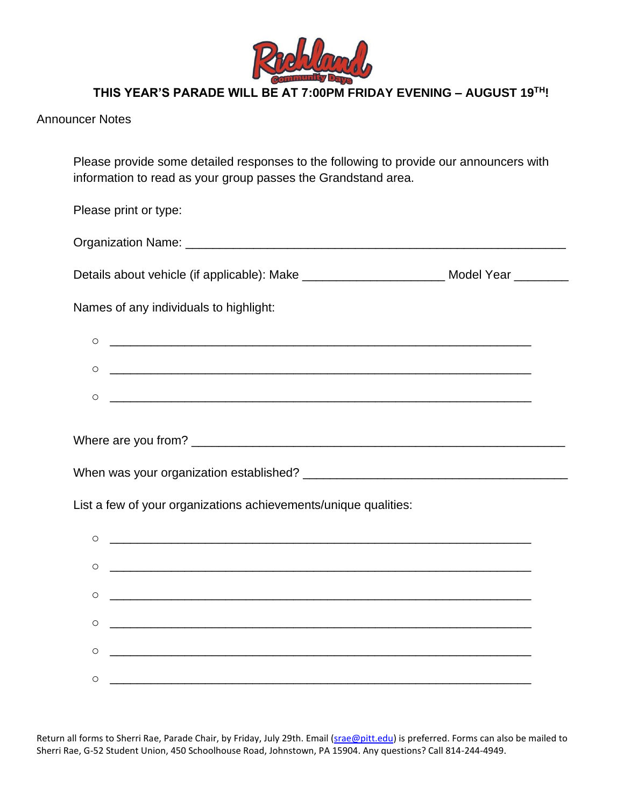

| <b>Announcer Notes</b> |  |
|------------------------|--|
|------------------------|--|

Please provide some detailed responses to the following to provide our announcers with information to read as your group passes the Grandstand area.

Please print or type: Organization Name: **With the Contract of Contract Contract of Contract Contract Contract Contract Contract Contract Contract Contract Contract Contract Contract Contract Contract Contract Contract Contract Contract Contrac** Details about vehicle (if applicable): Make \_\_\_\_\_\_\_\_\_\_\_\_\_\_\_\_\_\_\_\_\_\_\_\_\_\_\_\_\_ Model Year Names of any individuals to highlight:  $\circ$ o \_\_\_\_\_\_\_\_\_\_\_\_\_\_\_\_\_\_\_\_\_\_\_\_\_\_\_\_\_\_\_\_\_\_\_\_\_\_\_\_\_\_\_\_\_\_\_\_\_\_\_\_\_\_\_\_\_\_\_\_\_\_  $\circ$   $\hspace{0.2cm}$   $\hspace{0.2cm}$   $\hspace{0.2cm}$   $\hspace{0.2cm}$   $\hspace{0.2cm}$   $\hspace{0.2cm}$   $\hspace{0.2cm}$   $\hspace{0.2cm}$   $\hspace{0.2cm}$   $\hspace{0.2cm}$   $\hspace{0.2cm}$   $\hspace{0.2cm}$   $\hspace{0.2cm}$   $\hspace{0.2cm}$   $\hspace{0.2cm}$   $\hspace{0.2cm}$   $\hspace{0.2cm}$   $\hspace{0.2cm}$ 

Where are you from? \_\_\_\_\_\_\_\_\_\_\_\_\_\_\_\_\_\_\_\_\_\_\_\_\_\_\_\_\_\_\_\_\_\_\_\_\_\_\_\_\_\_\_\_\_\_\_\_\_\_\_\_\_\_\_

When was your organization established? \_\_\_\_\_\_\_\_\_\_\_\_\_\_\_\_\_\_\_\_\_\_\_\_\_\_\_\_\_\_\_\_\_\_\_\_\_\_\_

List a few of your organizations achievements/unique qualities:



Return all forms to Sherri Rae, Parade Chair, by Friday, July 29th. Email [\(srae@pitt.edu\)](mailto:srae@pitt.edu) is preferred. Forms can also be mailed to Sherri Rae, G-52 Student Union, 450 Schoolhouse Road, Johnstown, PA 15904. Any questions? Call 814-244-4949.